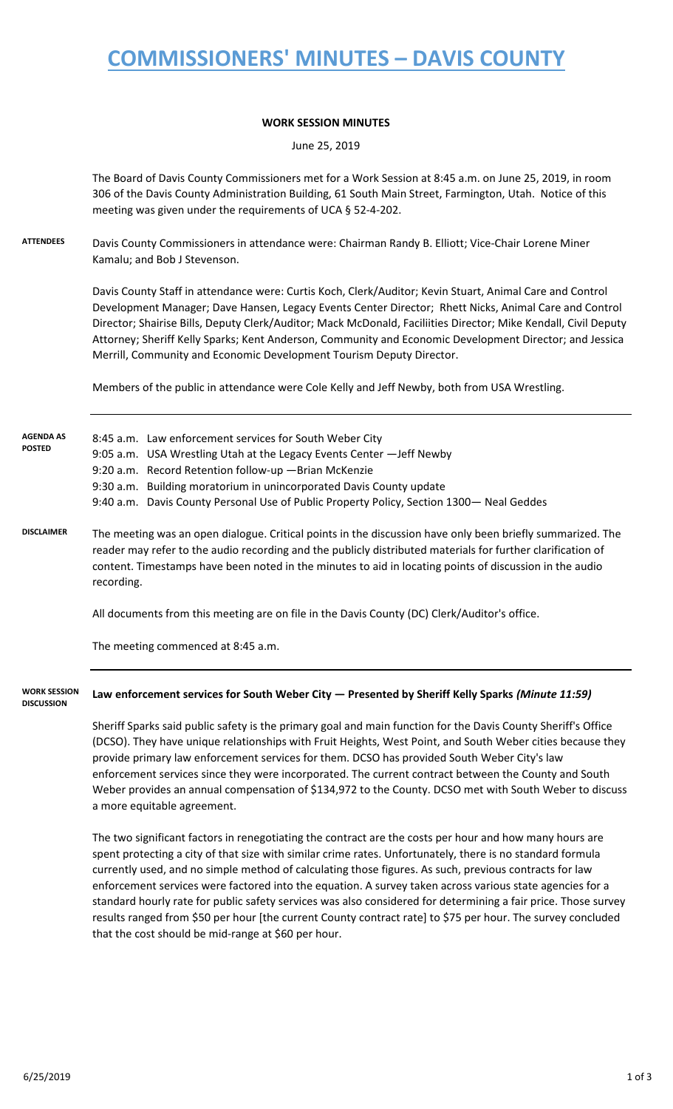### **COMMISSIONERS' MINUTES – DAVIS COUNTY**

#### **WORK SESSION MINUTES**

June 25, 2019

The Board of Davis County Commissioners met for a Work Session at 8:45 a.m. on June 25, 2019, in room 306 of the Davis County Administration Building, 61 South Main Street, Farmington, Utah. Notice of this meeting was given under the requirements of UCA § 52-4-202.

**ATTENDEES** Davis County Commissioners in attendance were: Chairman Randy B. Elliott; Vice-Chair Lorene Miner Kamalu; and Bob J Stevenson.

> Davis County Staff in attendance were: Curtis Koch, Clerk/Auditor; Kevin Stuart, Animal Care and Control Development Manager; Dave Hansen, Legacy Events Center Director; Rhett Nicks, Animal Care and Control Director; Shairise Bills, Deputy Clerk/Auditor; Mack McDonald, Faciliities Director; Mike Kendall, Civil Deputy Attorney; Sheriff Kelly Sparks; Kent Anderson, Community and Economic Development Director; and Jessica Merrill, Community and Economic Development Tourism Deputy Director.

Members of the public in attendance were Cole Kelly and Jeff Newby, both from USA Wrestling.

| <b>AGENDA AS</b><br><b>POSTED</b>        | 8:45 a.m. Law enforcement services for South Weber City<br>9:05 a.m. USA Wrestling Utah at the Legacy Events Center - Jeff Newby<br>9:20 a.m. Record Retention follow-up - Brian McKenzie<br>9:30 a.m. Building moratorium in unincorporated Davis County update<br>9:40 a.m. Davis County Personal Use of Public Property Policy, Section 1300 - Neal Geddes                                                                      |
|------------------------------------------|------------------------------------------------------------------------------------------------------------------------------------------------------------------------------------------------------------------------------------------------------------------------------------------------------------------------------------------------------------------------------------------------------------------------------------|
| <b>DISCLAIMER</b>                        | The meeting was an open dialogue. Critical points in the discussion have only been briefly summarized. The<br>reader may refer to the audio recording and the publicly distributed materials for further clarification of<br>content. Timestamps have been noted in the minutes to aid in locating points of discussion in the audio<br>recording.                                                                                 |
|                                          | All documents from this meeting are on file in the Davis County (DC) Clerk/Auditor's office.                                                                                                                                                                                                                                                                                                                                       |
|                                          | The meeting commenced at 8:45 a.m.                                                                                                                                                                                                                                                                                                                                                                                                 |
| <b>WORK SESSION</b><br><b>DISCUSSION</b> | Law enforcement services for South Weber City - Presented by Sheriff Kelly Sparks (Minute 11:59)                                                                                                                                                                                                                                                                                                                                   |
|                                          | Sheriff Sparks said public safety is the primary goal and main function for the Davis County Sheriff's Office<br>(DCSO). They have unique relationships with Fruit Heights, West Point, and South Weber cities because they<br>provide primary law enforcement services for them. DCSO has provided South Weber City's law<br>onforcement convices since thou were incorporated. The surrent contract between the County and South |

enforcement services since they were incorporated. The current contract between the County and South Weber provides an annual compensation of \$134,972 to the County. DCSO met with South Weber to discuss a more equitable agreement.

The two significant factors in renegotiating the contract are the costs per hour and how many hours are spent protecting a city of that size with similar crime rates. Unfortunately, there is no standard formula currently used, and no simple method of calculating those figures. As such, previous contracts for law enforcement services were factored into the equation. A survey taken across various state agencies for a standard hourly rate for public safety services was also considered for determining a fair price. Those survey results ranged from \$50 per hour [the current County contract rate] to \$75 per hour. The survey concluded that the cost should be mid-range at \$60 per hour.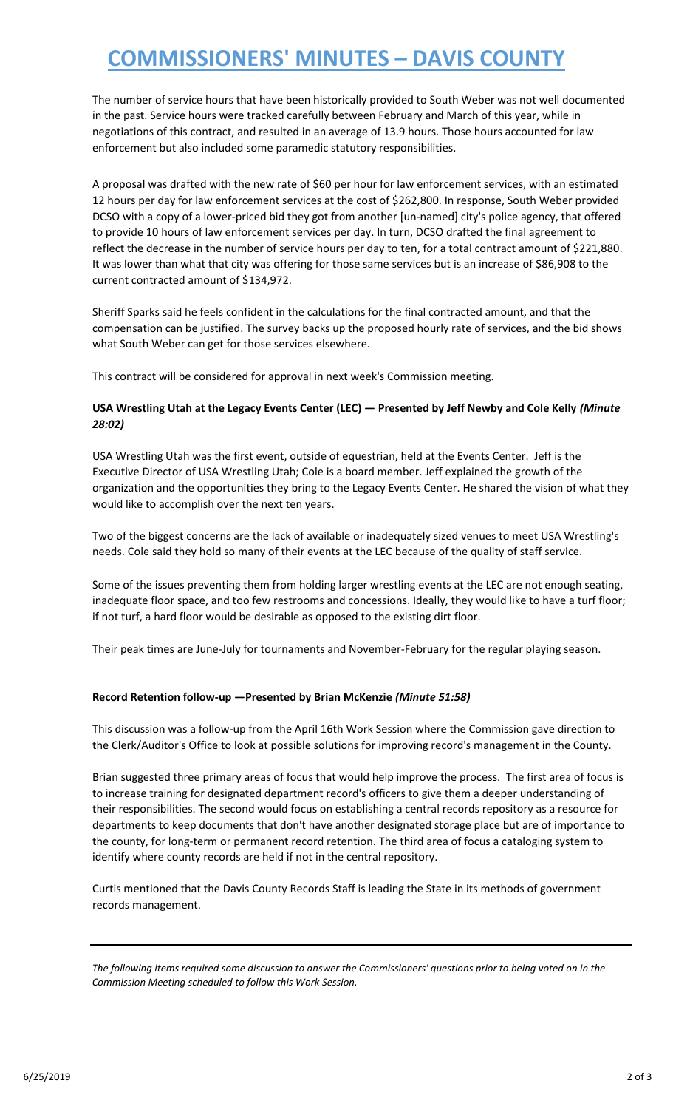# **COMMISSIONERS' MINUTES – DAVIS COUNTY**

The number of service hours that have been historically provided to South Weber was not well documented in the past. Service hours were tracked carefully between February and March of this year, while in negotiations of this contract, and resulted in an average of 13.9 hours. Those hours accounted for law enforcement but also included some paramedic statutory responsibilities.

A proposal was drafted with the new rate of \$60 per hour for law enforcement services, with an estimated 12 hours per day for law enforcement services at the cost of \$262,800. In response, South Weber provided DCSO with a copy of a lower-priced bid they got from another [un-named] city's police agency, that offered to provide 10 hours of law enforcement services per day. In turn, DCSO drafted the final agreement to reflect the decrease in the number of service hours per day to ten, for a total contract amount of \$221,880. It was lower than what that city was offering for those same services but is an increase of \$86,908 to the current contracted amount of \$134,972.

Sheriff Sparks said he feels confident in the calculations for the final contracted amount, and that the compensation can be justified. The survey backs up the proposed hourly rate of services, and the bid shows what South Weber can get for those services elsewhere.

This contract will be considered for approval in next week's Commission meeting.

### **USA Wrestling Utah at the Legacy Events Center (LEC) — Presented by Jeff Newby and Cole Kelly** *(Minute 28:02)*

USA Wrestling Utah was the first event, outside of equestrian, held at the Events Center. Jeff is the Executive Director of USA Wrestling Utah; Cole is a board member. Jeff explained the growth of the organization and the opportunities they bring to the Legacy Events Center. He shared the vision of what they would like to accomplish over the next ten years.

Two of the biggest concerns are the lack of available or inadequately sized venues to meet USA Wrestling's needs. Cole said they hold so many of their events at the LEC because of the quality of staff service.

Some of the issues preventing them from holding larger wrestling events at the LEC are not enough seating, inadequate floor space, and too few restrooms and concessions. Ideally, they would like to have a turf floor; if not turf, a hard floor would be desirable as opposed to the existing dirt floor.

Their peak times are June-July for tournaments and November-February for the regular playing season.

#### **Record Retention follow-up —Presented by Brian McKenzie** *(Minute 51:58)*

This discussion was a follow-up from the April 16th Work Session where the Commission gave direction to the Clerk/Auditor's Office to look at possible solutions for improving record's management in the County.

Brian suggested three primary areas of focus that would help improve the process. The first area of focus is to increase training for designated department record's officers to give them a deeper understanding of their responsibilities. The second would focus on establishing a central records repository as a resource for departments to keep documents that don't have another designated storage place but are of importance to the county, for long-term or permanent record retention. The third area of focus a cataloging system to identify where county records are held if not in the central repository.

Curtis mentioned that the Davis County Records Staff is leading the State in its methods of government records management.

*The following items required some discussion to answer the Commissioners' questions prior to being voted on in the Commission Meeting scheduled to follow this Work Session.*